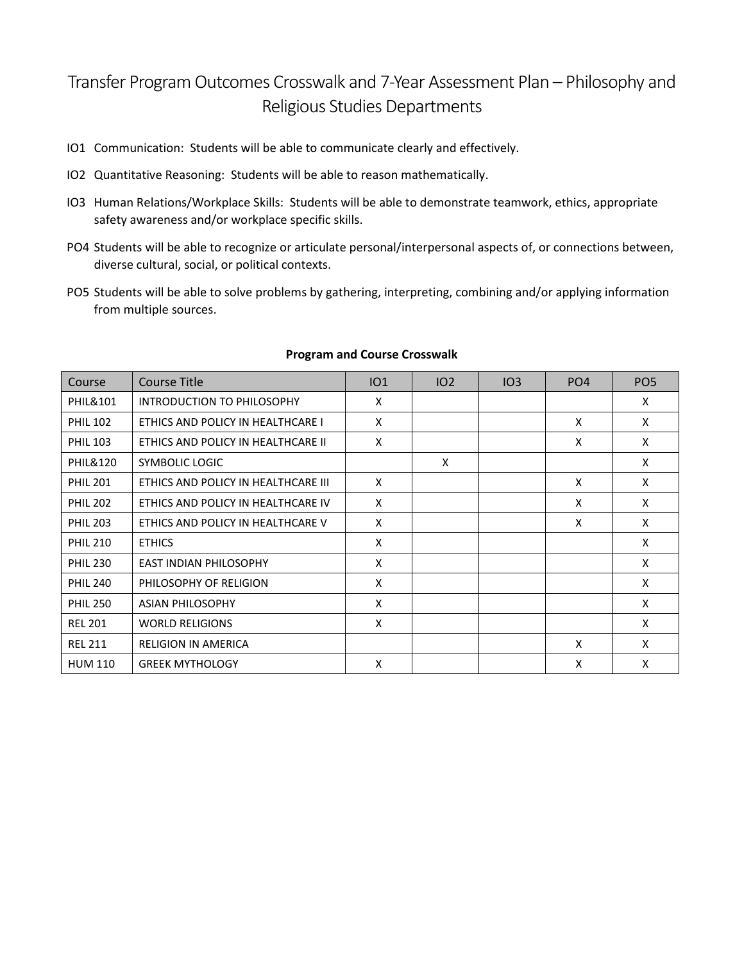## Transfer Program Outcomes Crosswalk and 7-Year Assessment Plan – Philosophy and Religious Studies Departments

- IO1 Communication: Students will be able to communicate clearly and effectively.
- IO2 Quantitative Reasoning: Students will be able to reason mathematically.
- IO3 Human Relations/Workplace Skills: Students will be able to demonstrate teamwork, ethics, appropriate safety awareness and/or workplace specific skills.
- PO4 Students will be able to recognize or articulate personal/interpersonal aspects of, or connections between, diverse cultural, social, or political contexts.
- PO5 Students will be able to solve problems by gathering, interpreting, combining and/or applying information from multiple sources.

| Course              | Course Title                        | IO1 | 102 | IO3 | PO <sub>4</sub> | PO <sub>5</sub> |
|---------------------|-------------------------------------|-----|-----|-----|-----------------|-----------------|
| <b>PHIL&amp;101</b> | <b>INTRODUCTION TO PHILOSOPHY</b>   | X   |     |     |                 | X               |
| <b>PHIL 102</b>     | ETHICS AND POLICY IN HEALTHCARE I   | X   |     |     | X               | X               |
| <b>PHIL 103</b>     | ETHICS AND POLICY IN HEALTHCARE II  | X   |     |     | X               | X               |
| <b>PHIL&amp;120</b> | SYMBOLIC LOGIC                      |     | X   |     |                 | X               |
| <b>PHIL 201</b>     | ETHICS AND POLICY IN HEALTHCARE III | X   |     |     | X               | X               |
| <b>PHIL 202</b>     | ETHICS AND POLICY IN HEALTHCARE IV  | X   |     |     | X               | X               |
| <b>PHIL 203</b>     | ETHICS AND POLICY IN HEALTHCARE V   | X   |     |     | X               | X               |
| <b>PHIL 210</b>     | <b>ETHICS</b>                       | X   |     |     |                 | X               |
| <b>PHIL 230</b>     | <b>EAST INDIAN PHILOSOPHY</b>       | X   |     |     |                 | X               |
| <b>PHIL 240</b>     | PHILOSOPHY OF RELIGION              | X   |     |     |                 | X               |
| <b>PHIL 250</b>     | <b>ASIAN PHILOSOPHY</b>             | X   |     |     |                 | X               |
| <b>REL 201</b>      | <b>WORLD RELIGIONS</b>              | X   |     |     |                 | X               |
| <b>REL 211</b>      | <b>RELIGION IN AMERICA</b>          |     |     |     | X               | X               |
| <b>HUM 110</b>      | <b>GREEK MYTHOLOGY</b>              | X   |     |     | X               | X               |

## **Program and Course Crosswalk**